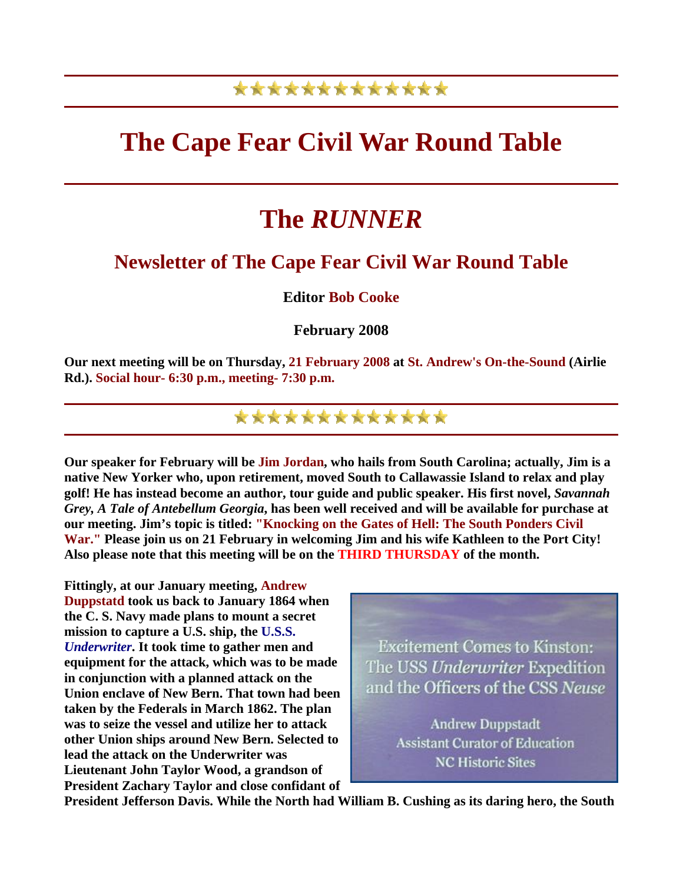## \*\*\*\*\*\*\*\*\*\*\*\*\*

## **The Cape Fear Civil War Round Table**

# **The** *RUNNER*

## **Newsletter of The Cape Fear Civil War Round Table**

#### **Editor Bob Cooke**

#### **February 2008**

**Our next meeting will be on Thursday, 21 February 2008 at St. Andrew's On-the-Sound (Airlie Rd.). Social hour- 6:30 p.m., meeting- 7:30 p.m.** 

\*\*\*\*\*\*\*\*\*\*\*\*\*

**Our speaker for February will be Jim Jordan, who hails from South Carolina; actually, Jim is a native New Yorker who, upon retirement, moved South to Callawassie Island to relax and play golf! He has instead become an author, tour guide and public speaker. His first novel,** *Savannah Grey, A Tale of Antebellum Georgia***, has been well received and will be available for purchase at our meeting. Jim's topic is titled: "Knocking on the Gates of Hell: The South Ponders Civil War." Please join us on 21 February in welcoming Jim and his wife Kathleen to the Port City! Also please note that this meeting will be on the THIRD THURSDAY of the month.** 

**Fittingly, at our January meeting, Andrew Duppstatd took us back to January 1864 when the C. S. Navy made plans to mount a secret mission to capture a U.S. ship, the U.S.S.** *Underwriter***. It took time to gather men and equipment for the attack, which was to be made in conjunction with a planned attack on the Union enclave of New Bern. That town had been taken by the Federals in March 1862. The plan was to seize the vessel and utilize her to attack other Union ships around New Bern. Selected to lead the attack on the Underwriter was Lieutenant John Taylor Wood, a grandson of President Zachary Taylor and close confidant of** 



**President Jefferson Davis. While the North had William B. Cushing as its daring hero, the South**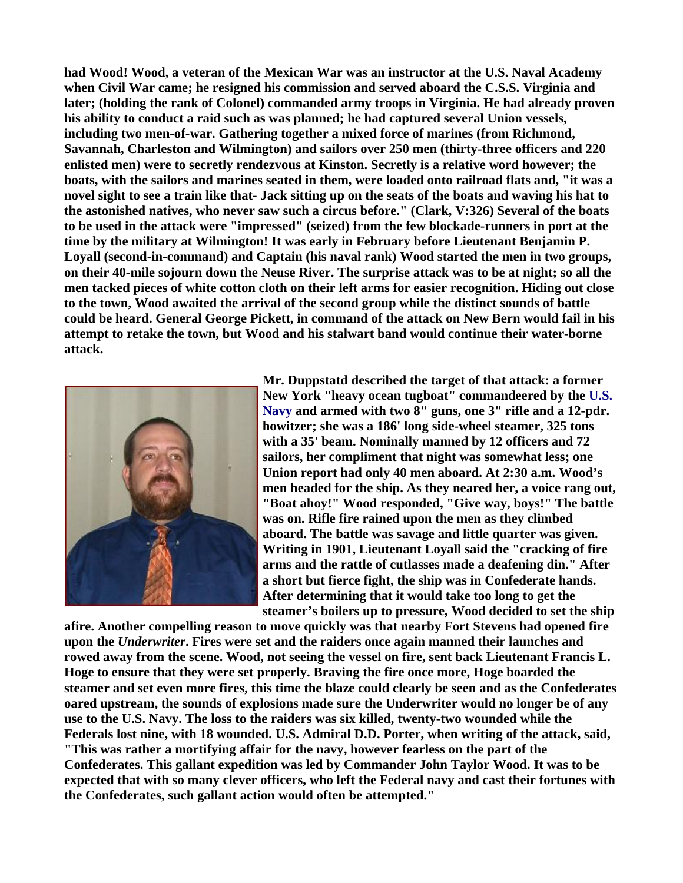**had Wood! Wood, a veteran of the Mexican War was an instructor at the U.S. Naval Academy when Civil War came; he resigned his commission and served aboard the C.S.S. Virginia and later; (holding the rank of Colonel) commanded army troops in Virginia. He had already proven his ability to conduct a raid such as was planned; he had captured several Union vessels, including two men-of-war. Gathering together a mixed force of marines (from Richmond, Savannah, Charleston and Wilmington) and sailors over 250 men (thirty-three officers and 220 enlisted men) were to secretly rendezvous at Kinston. Secretly is a relative word however; the boats, with the sailors and marines seated in them, were loaded onto railroad flats and, "it was a novel sight to see a train like that- Jack sitting up on the seats of the boats and waving his hat to the astonished natives, who never saw such a circus before." (Clark, V:326) Several of the boats to be used in the attack were "impressed" (seized) from the few blockade-runners in port at the time by the military at Wilmington! It was early in February before Lieutenant Benjamin P. Loyall (second-in-command) and Captain (his naval rank) Wood started the men in two groups, on their 40-mile sojourn down the Neuse River. The surprise attack was to be at night; so all the men tacked pieces of white cotton cloth on their left arms for easier recognition. Hiding out close to the town, Wood awaited the arrival of the second group while the distinct sounds of battle could be heard. General George Pickett, in command of the attack on New Bern would fail in his attempt to retake the town, but Wood and his stalwart band would continue their water-borne attack.** 



**Mr. Duppstatd described the target of that attack: a former New York "heavy ocean tugboat" commandeered by the U.S. Navy and armed with two 8" guns, one 3" rifle and a 12-pdr. howitzer; she was a 186' long side-wheel steamer, 325 tons with a 35' beam. Nominally manned by 12 officers and 72 sailors, her compliment that night was somewhat less; one Union report had only 40 men aboard. At 2:30 a.m. Wood's men headed for the ship. As they neared her, a voice rang out, "Boat ahoy!" Wood responded, "Give way, boys!" The battle was on. Rifle fire rained upon the men as they climbed aboard. The battle was savage and little quarter was given. Writing in 1901, Lieutenant Loyall said the "cracking of fire arms and the rattle of cutlasses made a deafening din." After a short but fierce fight, the ship was in Confederate hands. After determining that it would take too long to get the steamer's boilers up to pressure, Wood decided to set the ship** 

**afire. Another compelling reason to move quickly was that nearby Fort Stevens had opened fire upon the** *Underwriter***. Fires were set and the raiders once again manned their launches and rowed away from the scene. Wood, not seeing the vessel on fire, sent back Lieutenant Francis L. Hoge to ensure that they were set properly. Braving the fire once more, Hoge boarded the steamer and set even more fires, this time the blaze could clearly be seen and as the Confederates oared upstream, the sounds of explosions made sure the Underwriter would no longer be of any use to the U.S. Navy. The loss to the raiders was six killed, twenty-two wounded while the Federals lost nine, with 18 wounded. U.S. Admiral D.D. Porter, when writing of the attack, said, "This was rather a mortifying affair for the navy, however fearless on the part of the Confederates. This gallant expedition was led by Commander John Taylor Wood. It was to be expected that with so many clever officers, who left the Federal navy and cast their fortunes with the Confederates, such gallant action would often be attempted."**